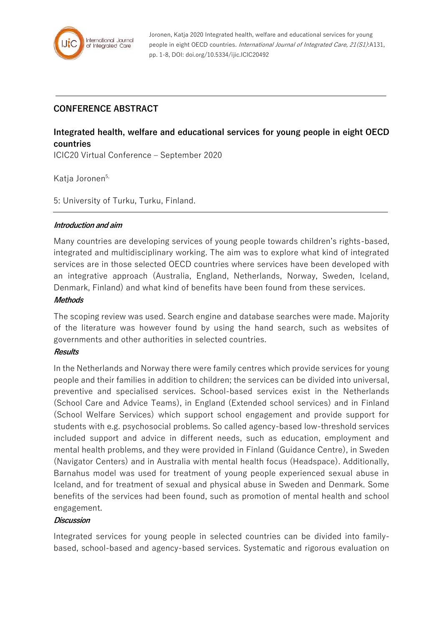

Joronen, Katja 2020 Integrated health, welfare and educational services for young people in eight OECD countries. International Journal of Integrated Care, 21(S1):A131, pp. 1-8, DOI: doi.org/10.5334/ijic.ICIC20492

## **CONFERENCE ABSTRACT**

# **Integrated health, welfare and educational services for young people in eight OECD countries**

ICIC20 Virtual Conference – September 2020

Katia Joronen<sup>5,</sup>

5: University of Turku, Turku, Finland.

#### **Introduction and aim**

Many countries are developing services of young people towards children's rights-based, integrated and multidisciplinary working. The aim was to explore what kind of integrated services are in those selected OECD countries where services have been developed with an integrative approach (Australia, England, Netherlands, Norway, Sweden, Iceland, Denmark, Finland) and what kind of benefits have been found from these services.

#### **Methods**

The scoping review was used. Search engine and database searches were made. Majority of the literature was however found by using the hand search, such as websites of governments and other authorities in selected countries.

#### **Results**

In the Netherlands and Norway there were family centres which provide services for young people and their families in addition to children; the services can be divided into universal, preventive and specialised services. School-based services exist in the Netherlands (School Care and Advice Teams), in England (Extended school services) and in Finland (School Welfare Services) which support school engagement and provide support for students with e.g. psychosocial problems. So called agency-based low-threshold services included support and advice in different needs, such as education, employment and mental health problems, and they were provided in Finland (Guidance Centre), in Sweden (Navigator Centers) and in Australia with mental health focus (Headspace). Additionally, Barnahus model was used for treatment of young people experienced sexual abuse in Iceland, and for treatment of sexual and physical abuse in Sweden and Denmark. Some benefits of the services had been found, such as promotion of mental health and school engagement.

### **Discussion**

Integrated services for young people in selected countries can be divided into familybased, school-based and agency-based services. Systematic and rigorous evaluation on